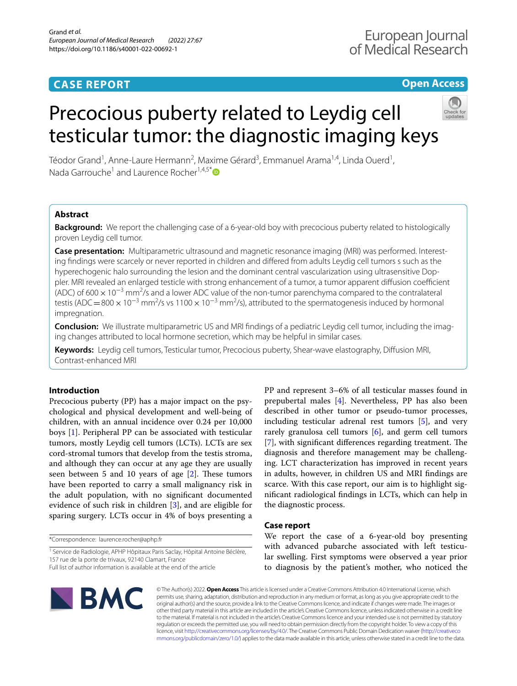# **CASE REPORT**

# **Open Access**

# Precocious puberty related to Leydig cell testicular tumor: the diagnostic imaging keys



Téodor Grand<sup>1</sup>, Anne-Laure Hermann<sup>2</sup>, Maxime Gérard<sup>3</sup>, Emmanuel Arama<sup>1,4</sup>, Linda Ouerd<sup>1</sup>, Nada Garrouche<sup>1</sup> and Laurence Rocher<sup>1,4,5\*</sup> $\bullet$ 

# **Abstract**

**Background:** We report the challenging case of a 6-year-old boy with precocious puberty related to histologically proven Leydig cell tumor.

**Case presentation:** Multiparametric ultrasound and magnetic resonance imaging (MRI) was performed. Interesting fndings were scarcely or never reported in children and difered from adults Leydig cell tumors s such as the hyperechogenic halo surrounding the lesion and the dominant central vascularization using ultrasensitive Doppler. MRI revealed an enlarged testicle with strong enhancement of a tumor, a tumor apparent diffusion coefficient (ADC) of 600  $\times$  10<sup>-3</sup> mm<sup>2</sup>/s and a lower ADC value of the non-tumor parenchyma compared to the contralateral testis (ADC = 800  $\times$  10<sup>-3</sup> mm<sup>2</sup>/s vs 1100  $\times$  10<sup>-3</sup> mm<sup>2</sup>/s), attributed to the spermatogenesis induced by hormonal impregnation.

**Conclusion:** We illustrate multiparametric US and MRI findings of a pediatric Leydig cell tumor, including the imaging changes attributed to local hormone secretion, which may be helpful in similar cases.

**Keywords:** Leydig cell tumors, Testicular tumor, Precocious puberty, Shear-wave elastography, Difusion MRI, Contrast-enhanced MRI

# **Introduction**

Precocious puberty (PP) has a major impact on the psychological and physical development and well-being of children, with an annual incidence over 0.24 per 10,000 boys [[1\]](#page-3-0). Peripheral PP can be associated with testicular tumors, mostly Leydig cell tumors (LCTs). LCTs are sex cord-stromal tumors that develop from the testis stroma, and although they can occur at any age they are usually seen between 5 and 10 years of age  $[2]$  $[2]$ . These tumors have been reported to carry a small malignancy risk in the adult population, with no signifcant documented evidence of such risk in children [[3\]](#page-3-2), and are eligible for sparing surgery. LCTs occur in 4% of boys presenting a

\*Correspondence: laurence.rocher@aphp.fr

<sup>1</sup> Service de Radiologie, APHP Hôpitaux Paris Saclay, Hôpital Antoine Béclère, 157 rue de la porte de trivaux, 92140 Clamart, France

Full list of author information is available at the end of the article



PP and represent 3–6% of all testicular masses found in prepubertal males [[4\]](#page-3-3). Nevertheless, PP has also been described in other tumor or pseudo-tumor processes, including testicular adrenal rest tumors [\[5](#page-3-4)], and very rarely granulosa cell tumors [\[6](#page-3-5)], and germ cell tumors  $[7]$  $[7]$ , with significant differences regarding treatment. The diagnosis and therefore management may be challenging. LCT characterization has improved in recent years in adults, however, in children US and MRI fndings are scarce. With this case report, our aim is to highlight signifcant radiological fndings in LCTs, which can help in the diagnostic process.

# **Case report**

We report the case of a 6-year-old boy presenting with advanced pubarche associated with left testicular swelling. First symptoms were observed a year prior to diagnosis by the patient's mother, who noticed the

© The Author(s) 2022. **Open Access** This article is licensed under a Creative Commons Attribution 4.0 International License, which permits use, sharing, adaptation, distribution and reproduction in any medium or format, as long as you give appropriate credit to the original author(s) and the source, provide a link to the Creative Commons licence, and indicate if changes were made. The images or other third party material in this article are included in the article's Creative Commons licence, unless indicated otherwise in a credit line to the material. If material is not included in the article's Creative Commons licence and your intended use is not permitted by statutory regulation or exceeds the permitted use, you will need to obtain permission directly from the copyright holder. To view a copy of this licence, visit [http://creativecommons.org/licenses/by/4.0/.](http://creativecommons.org/licenses/by/4.0/) The Creative Commons Public Domain Dedication waiver ([http://creativeco](http://creativecommons.org/publicdomain/zero/1.0/) [mmons.org/publicdomain/zero/1.0/](http://creativecommons.org/publicdomain/zero/1.0/)) applies to the data made available in this article, unless otherwise stated in a credit line to the data.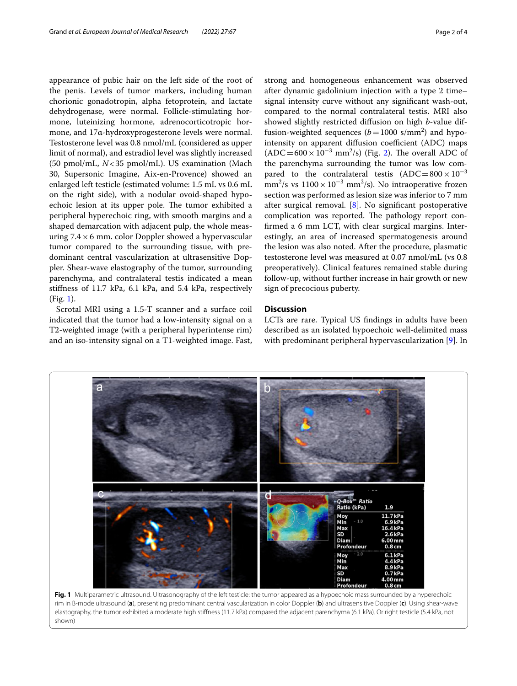appearance of pubic hair on the left side of the root of the penis. Levels of tumor markers, including human chorionic gonadotropin, alpha fetoprotein, and lactate dehydrogenase, were normal. Follicle-stimulating hormone, luteinizing hormone, adrenocorticotropic hormone, and 17α-hydroxyprogesterone levels were normal. Testosterone level was 0.8 nmol/mL (considered as upper limit of normal), and estradiol level was slightly increased (50 pmol/mL, *N*<35 pmol/mL). US examination (Mach 30, Supersonic Imagine, Aix-en-Provence) showed an enlarged left testicle (estimated volume: 1.5 mL vs 0.6 mL on the right side), with a nodular ovoid-shaped hypoechoic lesion at its upper pole. The tumor exhibited a peripheral hyperechoic ring, with smooth margins and a shaped demarcation with adjacent pulp, the whole measuring  $7.4 \times 6$  mm. color Doppler showed a hypervascular tumor compared to the surrounding tissue, with predominant central vascularization at ultrasensitive Doppler. Shear-wave elastography of the tumor, surrounding parenchyma, and contralateral testis indicated a mean stifness of 11.7 kPa, 6.1 kPa, and 5.4 kPa, respectively (Fig. [1\)](#page-1-0).

Scrotal MRI using a 1.5-T scanner and a surface coil indicated that the tumor had a low-intensity signal on a T2-weighted image (with a peripheral hyperintense rim) and an iso-intensity signal on a T1-weighted image. Fast, strong and homogeneous enhancement was observed after dynamic gadolinium injection with a type 2 time– signal intensity curve without any signifcant wash-out, compared to the normal contralateral testis. MRI also showed slightly restricted difusion on high *b*-value diffusion-weighted sequences  $(b=1000 \text{ s/mm}^2)$  and hypointensity on apparent diffusion coefficient (ADC) maps  $(ADC = 600 \times 10^{-3}$  mm<sup>2</sup>/s) (Fig. [2\)](#page-2-0). The overall ADC of the parenchyma surrounding the tumor was low compared to the contralateral testis  $(ADC=800 \times 10^{-3}$ mm<sup>2</sup>/s vs  $1100 \times 10^{-3}$  mm<sup>2</sup>/s). No intraoperative frozen section was performed as lesion size was inferior to 7 mm after surgical removal.  $[8]$  $[8]$ . No significant postoperative complication was reported. The pathology report confirmed a 6 mm LCT, with clear surgical margins. Interestingly, an area of increased spermatogenesis around the lesion was also noted. After the procedure, plasmatic testosterone level was measured at 0.07 nmol/mL (vs 0.8 preoperatively). Clinical features remained stable during

# **Discussion**

sign of precocious puberty.

LCTs are rare. Typical US fndings in adults have been described as an isolated hypoechoic well-delimited mass with predominant peripheral hypervascularization [\[9](#page-3-8)]. In

follow-up, without further increase in hair growth or new

<span id="page-1-0"></span>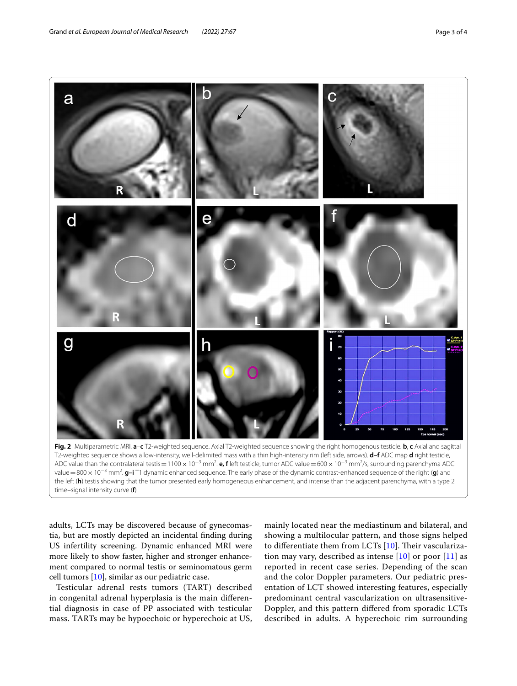

<span id="page-2-0"></span>ADC value than the contralateral testis=1100 × 10<sup>-3</sup> mm<sup>2</sup>. **e, f** left testicle, tumor ADC value=600 × 10<sup>-3</sup> mm<sup>2</sup>/s, surrounding parenchyma ADC value=800× 10−<sup>3</sup> mm2 . **g–i** T1 dynamic enhanced sequence. The early phase of the dynamic contrast-enhanced sequence of the right (**g**) and the left (**h**) testis showing that the tumor presented early homogeneous enhancement, and intense than the adjacent parenchyma, with a type 2 time–signal intensity curve (**f**)

adults, LCTs may be discovered because of gynecomastia, but are mostly depicted an incidental fnding during US infertility screening. Dynamic enhanced MRI were more likely to show faster, higher and stronger enhancement compared to normal testis or seminomatous germ cell tumors [[10\]](#page-3-9), similar as our pediatric case.

Testicular adrenal rests tumors (TART) described in congenital adrenal hyperplasia is the main diferential diagnosis in case of PP associated with testicular mass. TARTs may be hypoechoic or hyperechoic at US, mainly located near the mediastinum and bilateral, and showing a multilocular pattern, and those signs helped to differentiate them from LCTs  $[10]$  $[10]$  $[10]$ . Their vascularization may vary, described as intense  $[10]$  or poor  $[11]$  $[11]$  as reported in recent case series. Depending of the scan and the color Doppler parameters. Our pediatric presentation of LCT showed interesting features, especially predominant central vascularization on ultrasensitive-Doppler, and this pattern difered from sporadic LCTs described in adults. A hyperechoic rim surrounding